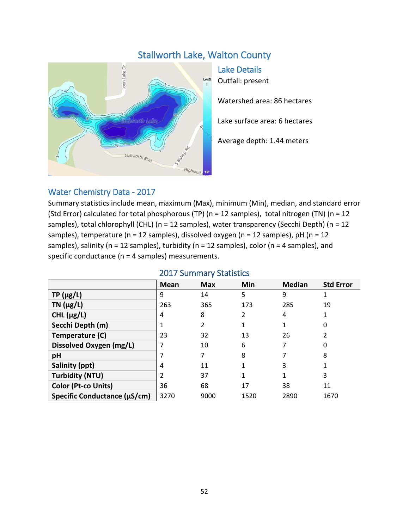# Stallworth Lake, Walton County



Lake Details Outfall: present

Watershed area: 86 hectares

Lake surface area: 6 hectares

Average depth: 1.44 meters

## Water Chemistry Data - 2017

Summary statistics include mean, maximum (Max), minimum (Min), median, and standard error (Std Error) calculated for total phosphorous (TP) (n = 12 samples), total nitrogen (TN) (n = 12 samples), total chlorophyll (CHL) (n = 12 samples), water transparency (Secchi Depth) (n = 12 samples), temperature ( $n = 12$  samples), dissolved oxygen ( $n = 12$  samples),  $pH$  ( $n = 12$ samples), salinity (n = 12 samples), turbidity (n = 12 samples), color (n = 4 samples), and specific conductance (n = 4 samples) measurements.

|                              | ZUITTIINI VUULIJUUS |            |      |               |                  |  |  |
|------------------------------|---------------------|------------|------|---------------|------------------|--|--|
|                              | Mean                | <b>Max</b> | Min  | <b>Median</b> | <b>Std Error</b> |  |  |
| $TP(\mu g/L)$                | 9                   | 14         | 5    | 9             |                  |  |  |
| TN $(\mu g/L)$               | 263                 | 365        | 173  | 285           | 19               |  |  |
| CHL $(\mu g/L)$              | 4                   | 8          | 2    | 4             |                  |  |  |
| Secchi Depth (m)             |                     | 2          |      |               | 0                |  |  |
| Temperature (C)              | 23                  | 32         | 13   | 26            |                  |  |  |
| Dissolved Oxygen (mg/L)      |                     | 10         | 6    |               | 0                |  |  |
| pH                           |                     | 7          | 8    |               | 8                |  |  |
| Salinity (ppt)               | 4                   | 11         |      | 3             |                  |  |  |
| <b>Turbidity (NTU)</b>       |                     | 37         |      |               | 3                |  |  |
| Color (Pt-co Units)          | 36                  | 68         | 17   | 38            | 11               |  |  |
| Specific Conductance (µS/cm) | 3270                | 9000       | 1520 | 2890          | 1670             |  |  |

#### 2017 Summary Statistics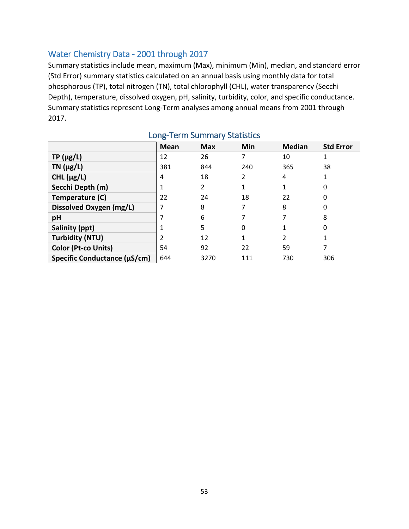## Water Chemistry Data - 2001 through 2017

Summary statistics include mean, maximum (Max), minimum (Min), median, and standard error (Std Error) summary statistics calculated on an annual basis using monthly data for total phosphorous (TP), total nitrogen (TN), total chlorophyll (CHL), water transparency (Secchi Depth), temperature, dissolved oxygen, pH, salinity, turbidity, color, and specific conductance. Summary statistics represent Long-Term analyses among annual means from 2001 through 2017.

|                              | <b>Mean</b> | <b>Max</b> | Min | <b>Median</b> | <b>Std Error</b> |
|------------------------------|-------------|------------|-----|---------------|------------------|
| $TP(\mu g/L)$                | 12          | 26         |     | 10            |                  |
| $TN$ ( $\mu$ g/L)            | 381         | 844        | 240 | 365           | 38               |
| CHL $(\mu g/L)$              | 4           | 18         | C.  | 4             |                  |
| Secchi Depth (m)             |             | 2          |     |               | 0                |
| Temperature (C)              | 22          | 24         | 18  | 22            | 0                |
| Dissolved Oxygen (mg/L)      |             | 8          | 7   | 8             | 0                |
| pH                           |             | 6          |     |               | 8                |
| Salinity (ppt)               |             | 5          | 0   |               | 0                |
| <b>Turbidity (NTU)</b>       |             | 12         | 1   | 2             |                  |
| Color (Pt-co Units)          | 54          | 92         | 22  | 59            |                  |
| Specific Conductance (µS/cm) | 644         | 3270       | 111 | 730           | 306              |

## Long-Term Summary Statistics